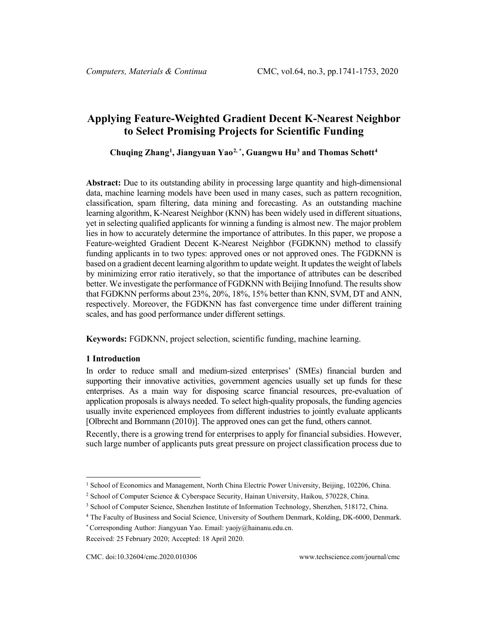# **Applying Feature-Weighted Gradient Decent K-Nearest Neighbor to Select Promising Projects for Scientific Funding**

**Chuqing Zhang[1](#page-0-0) , Jiangyuan Yao[2](#page-0-1), \* , Guangwu Hu[3](#page-0-2) and Thomas Schøtt[4](#page-0-3)**

**Abstract:** Due to its outstanding ability in processing large quantity and high-dimensional data, machine learning models have been used in many cases, such as pattern recognition, classification, spam filtering, data mining and forecasting. As an outstanding machine learning algorithm, K-Nearest Neighbor (KNN) has been widely used in different situations, yet in selecting qualified applicants for winning a funding is almost new. The major problem lies in how to accurately determine the importance of attributes. In this paper, we propose a Feature-weighted Gradient Decent K-Nearest Neighbor (FGDKNN) method to classify funding applicants in to two types: approved ones or not approved ones. The FGDKNN is based on a gradient decent learning algorithm to update weight. It updatesthe weight of labels by minimizing error ratio iteratively, so that the importance of attributes can be described better. We investigate the performance of FGDKNN with Beijing Innofund. The results show that FGDKNN performs about 23%, 20%, 18%, 15% better than KNN, SVM, DT and ANN, respectively. Moreover, the FGDKNN has fast convergence time under different training scales, and has good performance under different settings.

**Keywords:** FGDKNN, project selection, scientific funding, machine learning.

### **1 Introduction**

In order to reduce small and medium-sized enterprises' (SMEs) financial burden and supporting their innovative activities, government agencies usually set up funds for these enterprises. As a main way for disposing scarce financial resources, pre-evaluation of application proposals is always needed. To select high-quality proposals, the funding agencies usually invite experienced employees from different industries to jointly evaluate applicants [Olbrecht and Bornmann (2010)]. The approved ones can get the fund, others cannot.

Recently, there is a growing trend for enterprises to apply for financial subsidies. However, such large number of applicants puts great pressure on project classification process due to

<span id="page-0-0"></span><sup>1</sup> School of Economics and Management, North China Electric Power University, Beijing, 102206, China.

<span id="page-0-1"></span><sup>&</sup>lt;sup>2</sup> School of Computer Science & Cyberspace Security, Hainan University, Haikou, 570228, China.

<span id="page-0-2"></span><sup>3</sup> School of Computer Science, Shenzhen Institute of Information Technology, Shenzhen, 518172, China.

<span id="page-0-3"></span><sup>4</sup> The Faculty of Business and Social Science, University of Southern Denmark, Kolding, DK-6000, Denmark.

<sup>\*</sup> Corresponding Author: Jiangyuan Yao. Email: yaojy@hainanu.edu.cn.

Received: 25 February 2020; Accepted: 18 April 2020.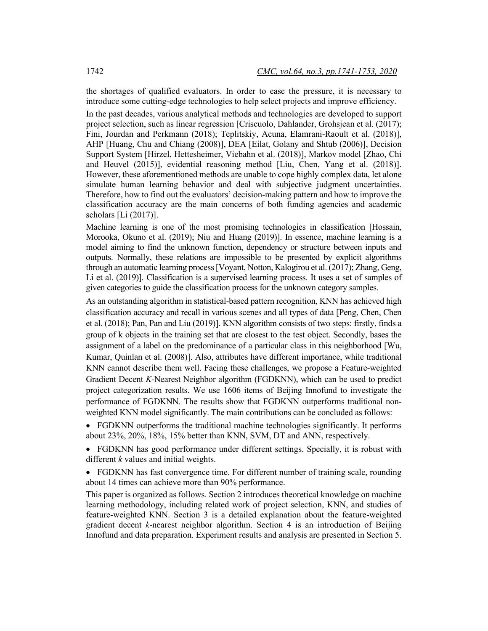the shortages of qualified evaluators. In order to ease the pressure, it is necessary to introduce some cutting-edge technologies to help select projects and improve efficiency.

In the past decades, various analytical methods and technologies are developed to support project selection, such as linear regression [Criscuolo, Dahlander, Grohsjean et al. (2017); Fini, Jourdan and Perkmann (2018); Teplitskiy, Acuna, Elamrani-Raoult et al. (2018)], AHP [Huang, Chu and Chiang (2008)], DEA [Eilat, Golany and Shtub (2006)], Decision Support System [Hirzel, Hettesheimer, Viebahn et al. (2018)], Markov model [Zhao, Chi and Heuvel (2015)], evidential reasoning method [Liu, Chen, Yang et al. (2018)]. However, these aforementioned methods are unable to cope highly complex data, let alone simulate human learning behavior and deal with subjective judgment uncertainties. Therefore, how to find out the evaluators' decision-making pattern and how to improve the classification accuracy are the main concerns of both funding agencies and academic scholars [Li (2017)].

Machine learning is one of the most promising technologies in classification [Hossain, Morooka, Okuno et al. (2019); Niu and Huang (2019)]. In essence, machine learning is a model aiming to find the unknown function, dependency or structure between inputs and outputs. Normally, these relations are impossible to be presented by explicit algorithms through an automatic learning process[Voyant, Notton, Kalogirou et al. (2017); Zhang, Geng, Li et al. (2019)]. Classification is a supervised learning process. It uses a set of samples of given categories to guide the classification process for the unknown category samples.

As an outstanding algorithm in statistical-based pattern recognition, KNN has achieved high classification accuracy and recall in various scenes and all types of data [Peng, Chen, Chen et al. (2018); Pan, Pan and Liu (2019)]. KNN algorithm consists of two steps: firstly, finds a group of k objects in the training set that are closest to the test object. Secondly, bases the assignment of a label on the predominance of a particular class in this neighborhood [Wu, Kumar, Quinlan et al. (2008)]. Also, attributes have different importance, while traditional KNN cannot describe them well. Facing these challenges, we propose a Feature-weighted Gradient Decent *K*-Nearest Neighbor algorithm (FGDKNN), which can be used to predict project categorization results. We use 1606 items of Beijing Innofund to investigate the performance of FGDKNN. The results show that FGDKNN outperforms traditional nonweighted KNN model significantly. The main contributions can be concluded as follows:

• FGDKNN outperforms the traditional machine technologies significantly. It performs about 23%, 20%, 18%, 15% better than KNN, SVM, DT and ANN, respectively.

• FGDKNN has good performance under different settings. Specially, it is robust with different *k* values and initial weights.

• FGDKNN has fast convergence time. For different number of training scale, rounding about 14 times can achieve more than 90% performance.

This paper is organized as follows. Section 2 introduces theoretical knowledge on machine learning methodology, including related work of project selection, KNN, and studies of feature-weighted KNN. Section 3 is a detailed explanation about the feature-weighted gradient decent *k*-nearest neighbor algorithm. Section 4 is an introduction of Beijing Innofund and data preparation. Experiment results and analysis are presented in Section 5.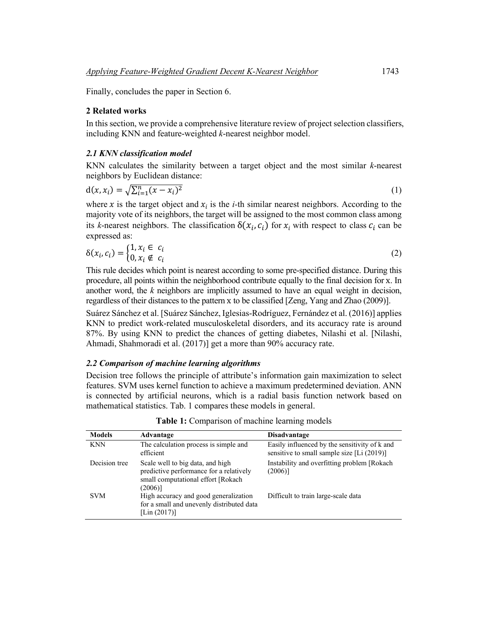Finally, concludes the paper in Section 6.

### **2 Related works**

In this section, we provide a comprehensive literature review of project selection classifiers, including KNN and feature-weighted *k*-nearest neighbor model.

### *2.1 KNN classification model*

KNN calculates the similarity between a target object and the most similar *k*-nearest neighbors by Euclidean distance:

$$
d(x, x_i) = \sqrt{\sum_{i=1}^{n} (x - x_i)^2}
$$
 (1)

where x is the target object and  $x_i$  is the *i*-th similar nearest neighbors. According to the majority vote of its neighbors, the target will be assigned to the most common class among its *k*-nearest neighbors. The classification  $\delta(x_i, c_i)$  for  $x_i$  with respect to class  $c_i$  can be expressed as:

$$
\delta(x_i, c_i) = \begin{cases} 1, x_i \in c_i \\ 0, x_i \notin c_i \end{cases}
$$
 (2)

This rule decides which point is nearest according to some pre-specified distance. During this procedure, all points within the neighborhood contribute equally to the final decision for x. In another word, the *k* neighbors are implicitly assumed to have an equal weight in decision, regardless of their distances to the pattern x to be classified [Zeng, Yang and Zhao (2009)].

Suárez Sánchez et al. [Suárez Sánchez, Iglesias-Rodríguez, Fernández et al. (2016)] applies KNN to predict work-related musculoskeletal disorders, and its accuracy rate is around 87%. By using KNN to predict the chances of getting diabetes, Nilashi et al. [Nilashi, Ahmadi, Shahmoradi et al. (2017)] get a more than 90% accuracy rate.

### *2.2 Comparison of machine learning algorithms*

Decision tree follows the principle of attribute's information gain maximization to select features. SVM uses kernel function to achieve a maximum predetermined deviation. ANN is connected by artificial neurons, which is a radial basis function network based on mathematical statistics. Tab. 1 compares these models in general.

| <b>Models</b> | Advantage                                                                                                                        | <b>Disadvantage</b>                                                                         |
|---------------|----------------------------------------------------------------------------------------------------------------------------------|---------------------------------------------------------------------------------------------|
| <b>KNN</b>    | The calculation process is simple and<br>efficient                                                                               | Easily influenced by the sensitivity of k and<br>sensitive to small sample size [Li (2019)] |
| Decision tree | Scale well to big data, and high<br>predictive performance for a relatively<br>small computational effort [Rokach]<br>$(2006)$ ] | Instability and overfitting problem [Rokach]<br>(2006)                                      |
| <b>SVM</b>    | High accuracy and good generalization<br>for a small and unevenly distributed data<br>[Lin $(2017)$ ]                            | Difficult to train large-scale data                                                         |

**Table 1:** Comparison of machine learning models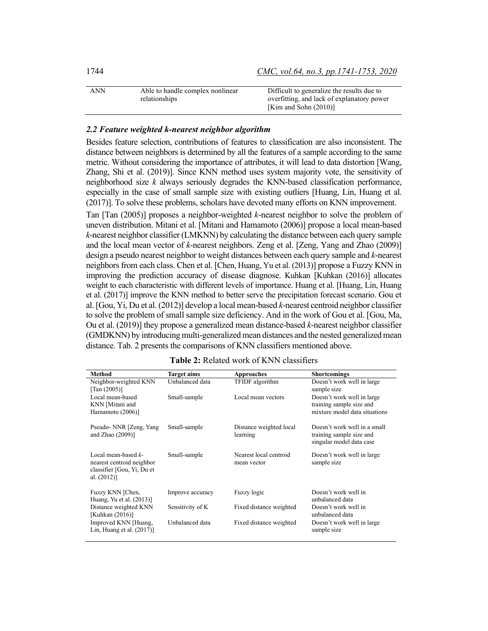| 1744 | CMC, vol.64, no.3, pp.1741-1753, 2020 |
|------|---------------------------------------|
|      |                                       |

| <b>ANN</b> | Able to handle complex nonlinear | Difficult to generalize the results due to |
|------------|----------------------------------|--------------------------------------------|
|            | relationships                    | overfitting, and lack of explanatory power |
|            |                                  | [Kim and Sohn $(2010)$ ]                   |

### *2.2 Feature weighted k-nearest neighbor algorithm*

Besides feature selection, contributions of features to classification are also inconsistent. The distance between neighbors is determined by all the features of a sample according to the same metric. Without considering the importance of attributes, it will lead to data distortion [Wang, Zhang, Shi et al. (2019)]. Since KNN method uses system majority vote, the sensitivity of neighborhood size *k* always seriously degrades the KNN-based classification performance, especially in the case of small sample size with existing outliers [Huang, Lin, Huang et al. (2017)]. To solve these problems, scholars have devoted many efforts on KNN improvement. Tan [Tan (2005)] proposes a neighbor-weighted *k*-nearest neighbor to solve the problem of

uneven distribution. Mitani et al. [Mitani and Hamamoto (2006)] propose a local mean-based *k*-nearest neighbor classifier (LMKNN) by calculating the distance between each query sample and the local mean vector of *k*-nearest neighbors. Zeng et al. [Zeng, Yang and Zhao (2009)] design a pseudo nearest neighbor to weight distances between each query sample and *k*-nearest neighbors from each class. Chen et al. [Chen, Huang, Yu et al. (2013)] propose a Fuzzy KNN in improving the prediction accuracy of disease diagnose. Kuhkan [Kuhkan (2016)] allocates weight to each characteristic with different levels of importance. Huang et al. [Huang, Lin, Huang et al. (2017)] improve the KNN method to better serve the precipitation forecast scenario. Gou et al. [Gou, Yi, Du et al. (2012)] develop a local mean-based *k*-nearest centroid neighbor classifier to solve the problem of small sample size deficiency. And in the work of Gou et al. [Gou, Ma, Ou et al. (2019)] they propose a generalized mean distance-based *k*-nearest neighbor classifier (GMDKNN) by introducing multi-generalized mean distances and the nested generalized mean distance. Tab. 2 presents the comparisons of KNN classifiers mentioned above.

| Method                                                                                              | <b>Target aims</b> | <b>Approaches</b>                     | <b>Shortcomings</b>                                                                     |
|-----------------------------------------------------------------------------------------------------|--------------------|---------------------------------------|-----------------------------------------------------------------------------------------|
| Neighbor-weighted KNN<br>$\lceil \text{Tan} (2005) \rceil$                                          | Unbalanced data    | TFIDF algorithm                       | Doesn't work well in large<br>sample size                                               |
| Local mean-based<br>KNN [Mitani and<br>Hamamoto (2006)]                                             | Small-sample       | Local mean vectors                    | Doesn't work well in large<br>training sample size and<br>mixture model data situations |
| Pseudo-NNR [Zeng, Yang]<br>and Zhao $(2009)$ ]                                                      | Small-sample       | Distance weighted local<br>learning   | Doesn't work well in a small<br>training sample size and<br>singular model data case    |
| Local mean-based $k$ -<br>nearest centroid neighbor<br>classifier [Gou, Yi, Du et<br>al. $(2012)$ ] | Small-sample       | Nearest local centroid<br>mean vector | Doesn't work well in large<br>sample size                                               |
| Fuzzy KNN [Chen,<br>Huang, Yu et al. (2013)]                                                        | Improve accuracy   | Fuzzy logic                           | Doesn't work well in<br>unbalanced data                                                 |
| Distance weighted KNN<br>[Kuhkan (2016)]                                                            | Sensitivity of K   | Fixed distance weighted               | Doesn't work well in<br>unbalanced data                                                 |
| Improved KNN [Huang,<br>Lin, Huang et al. $(2017)$ ]                                                | Unbalanced data    | Fixed distance weighted               | Doesn't work well in large<br>sample size                                               |

| Table 2: Related work of KNN classifiers |  |  |  |
|------------------------------------------|--|--|--|
|------------------------------------------|--|--|--|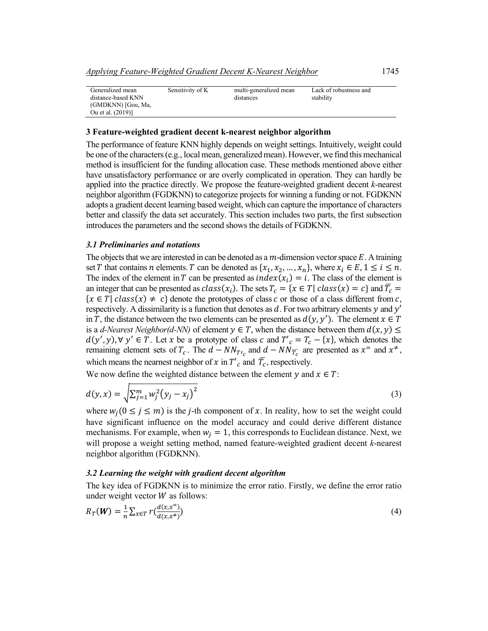| Generalized mean   | Sensitivity of K | multi-generalized mean | Lack of robustness and |
|--------------------|------------------|------------------------|------------------------|
| distance-based KNN |                  | distances              | stability              |
| (GMDKNN) [Gou, Ma, |                  |                        |                        |
| Ou et al. (2019)]  |                  |                        |                        |

#### **3 Feature-weighted gradient decent k-nearest neighbor algorithm**

The performance of feature KNN highly depends on weight settings. Intuitively, weight could be one of the characters(e.g., local mean, generalized mean). However, we find this mechanical method is insufficient for the funding allocation case. These methods mentioned above either have unsatisfactory performance or are overly complicated in operation. They can hardly be applied into the practice directly. We propose the feature-weighted gradient decent *k*-nearest neighbor algorithm (FGDKNN) to categorize projects for winning a funding or not. FGDKNN adopts a gradient decent learning based weight, which can capture the importance of characters better and classify the data set accurately. This section includes two parts, the first subsection introduces the parameters and the second shows the details of FGDKNN.

### *3.1 Preliminaries and notations*

The objects that we are interested in can be denoted as a  $m$ -dimension vector space  $E$ . A training set T that contains *n* elements. T can be denoted as  $\{x_1, x_2, ..., x_n\}$ , where  $x_i \in E$ ,  $1 \le i \le n$ . The index of the element in T can be presented as  $index(x_i) = i$ . The class of the element is an integer that can be presented as  $class(x_i)$ . The sets  $T_c = \{x \in T | class(x) = c\}$  and  $\overline{T_c} =$  ${x \in T | class(x) \neq c}$  denote the prototypes of class  $c$  or those of a class different from  $c$ , respectively. A dissimilarity is a function that denotes as  $d$ . For two arbitrary elements y and  $y'$ in T, the distance between the two elements can be presented as  $d(y, y')$ . The element  $x \in T$ is a *d-Nearest Neighbor(d-NN)* of element  $y \in T$ , when the distance between them  $d(x, y) \leq$  $(y', y)$ ,  $\forall y' \in T$ . Let x be a prototype of class c and  $T'_{c} = T_{c} - \{x\}$ , which denotes the remaining element sets of  $T_c$ . The  $d - NN_{T_c}$  and  $d - NN_{\overline{T_c}}$  are presented as  $x^=$  and  $x^+$ , which means the nearnest neighbor of  $x$  in  $T'_{c}$  and  $T_{c}$ , respectively.

We now define the weighted distance between the element  $\nu$  and  $\chi \in T$ :

$$
d(y,x) = \sqrt{\sum_{j=1}^{m} w_j^2 (y_j - x_j)^2}
$$
 (3)

where  $w_i$  ( $0 \le j \le m$ ) is the *j*-th component of x. In reality, how to set the weight could have significant influence on the model accuracy and could derive different distance mechanisms. For example, when  $w_i = 1$ , this corresponds to Euclidean distance. Next, we will propose a weight setting method, named feature-weighted gradient decent *k*-nearest neighbor algorithm (FGDKNN).

### *3.2 Learning the weight with gradient decent algorithm*

The key idea of FGDKNN is to minimize the error ratio. Firstly, we define the error ratio under weight vector  $W$  as follows:

$$
R_T(\mathbf{W}) = \frac{1}{n} \sum_{x \in T} r \left( \frac{d(x, x^=)}{d(x, x^+)} \right) \tag{4}
$$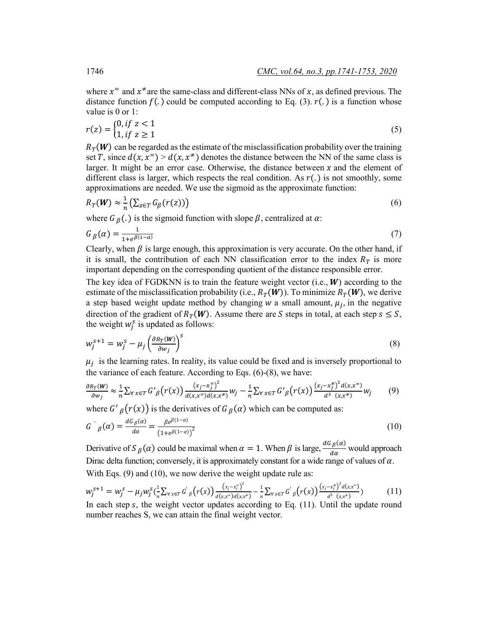where  $x^2$  and  $x^2$  are the same-class and different-class NNs of x, as defined previous. The distance function  $f(.)$  could be computed according to Eq. (3).  $r(.)$  is a function whose

$$
r(z) = \begin{cases} 0, & if z < 1 \\ 1, & if z \ge 1 \end{cases}
$$
 (5)

 $R_{\tau}(\boldsymbol{W})$  can be regarded as the estimate of the misclassification probability over the training set T, since  $d(x, x^*) > d(x, x^*)$  denotes the distance between the NN of the same class is larger. It might be an error case. Otherwise, the distance between  $x$  and the element of different class is larger, which respects the real condition. As  $r(.)$  is not smoothly, some approximations are needed. We use the sigmoid as the approximate function:

$$
R_T(\mathbf{W}) \approx \frac{1}{n} \left( \sum_{z \in T} G_{\beta}(r(z)) \right) \tag{6}
$$

where  $G_\beta(.)$  is the sigmoid function with slope  $\beta$ , centralized at  $\alpha$ :

$$
G_{\beta}(\alpha) = \frac{1}{1 + e^{\beta(1 - \alpha)}}\tag{7}
$$

Clearly, when  $\beta$  is large enough, this approximation is very accurate. On the other hand, if it is small, the contribution of each NN classification error to the index  $R<sub>T</sub>$  is more important depending on the corresponding quotient of the distance responsible error.

The key idea of FGDKNN is to train the feature weight vector (i.e.,  $W$ ) according to the estimate of the misclassification probability (i.e.,  $R_T(W)$ ). To minimize  $R_T(W)$ , we derive a step based weight update method by changing  $w$  a small amount,  $\mu_i$ , in the negative direction of the gradient of  $R_T(W)$ . Assume there are S steps in total, at each step  $s \leq S$ , the weight  $w_j^s$  is updated as follows:

$$
w_j^{s+1} = w_j^s - \mu_j \left(\frac{\partial R_T(W)}{\partial w_j}\right)^s
$$
\n(8)

 $\mu_i$  is the learning rates. In reality, its value could be fixed and is inversely proportional to the variance of each feature. According to Eqs. (6)-(8), we have:

$$
\frac{\partial R_T(W)}{\partial w_j} \approx \frac{1}{n} \sum_{\forall x \in T} G'_{\beta}(r(x)) \frac{(x_j - x_j^2)^2}{d(x_i x^2) d(x_i x^2)} w_j - \frac{1}{n} \sum_{\forall x \in T} G'_{\beta}(r(x)) \frac{(x_j - x_j^2)^2 d(x_i x^2)}{d^3 (x_i x^2)} w_j \tag{9}
$$

where  $G'_{\beta}(r(x))$  is the derivatives of  $G_{\beta}(\alpha)$  which can be computed as:

$$
G'_{\beta}(\alpha) = \frac{d G_{\beta}(\alpha)}{d \alpha} = \frac{\beta e^{\beta (1-\alpha)}}{\left(1 + e^{\beta (1-\alpha)}\right)^2}
$$
(10)

Derivative of  $S_\beta(\alpha)$  could be maximal when  $\alpha = 1$ . When  $\beta$  is large,  $\frac{dG_\beta(\alpha)}{d\alpha}$  would approach Dirac delta function; conversely, it is approximately constant for a wide range of values of  $\alpha$ . With Eqs. (9) and (10), we now derive the weight update rule as:

$$
w_j^{s+1} = w_j^s - \mu_j w_j^s \left(\frac{1}{n} \sum_{\forall x \in T} G'_{\beta}(r(x)) \frac{(x_j - x_j^s)^2}{d(x_i x^s) d(x_i x^s)} - \frac{1}{n} \sum_{\forall x \in T} G'_{\beta}(r(x)) \frac{(x_j - x_j^s)^2 d(x_i x^s)}{d^3(x_i x^s)}\right)
$$
(11)

In each step  $s$ , the weight vector updates according to Eq. (11). Until the update round number reaches S, we can attain the final weight vector.

value is 0 or  $1$ .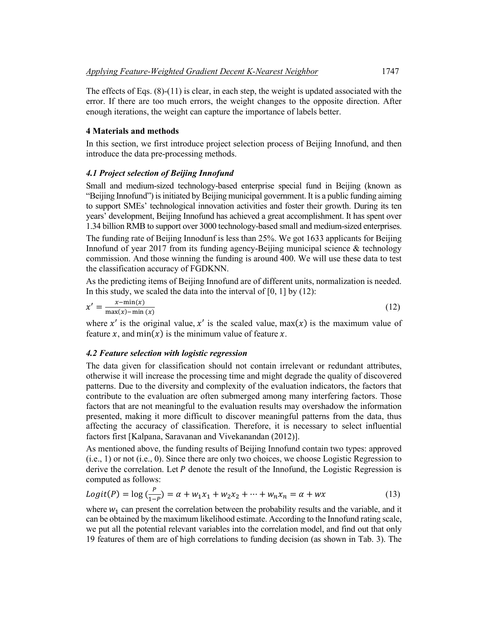The effects of Eqs.  $(8)-(11)$  is clear, in each step, the weight is updated associated with the error. If there are too much errors, the weight changes to the opposite direction. After enough iterations, the weight can capture the importance of labels better.

# **4 Materials and methods**

In this section, we first introduce project selection process of Beijing Innofund, and then introduce the data pre-processing methods.

# *4.1 Project selection of Beijing Innofund*

Small and medium-sized technology-based enterprise special fund in Beijing (known as "Beijing Innofund") is initiated by Beijing municipal government. It is a public funding aiming to support SMEs' technological innovation activities and foster their growth. During its ten years' development, Beijing Innofund has achieved a great accomplishment. It has spent over 1.34 billion RMB to support over 3000 technology-based small and medium-sized enterprises.

The funding rate of Beijing Innodunf is less than 25%. We got 1633 applicants for Beijing Innofund of year 2017 from its funding agency-Beijing municipal science  $\&$  technology commission. And those winning the funding is around 400. We will use these data to test the classification accuracy of FGDKNN.

As the predicting items of Beijing Innofund are of different units, normalization is needed. In this study, we scaled the data into the interval of  $[0, 1]$  by  $(12)$ :

$$
x' = \frac{x - \min(x)}{\max(x) - \min(x)}\tag{12}
$$

where x' is the original value, x' is the scaled value, max(x) is the maximum value of feature x, and  $min(x)$  is the minimum value of feature x.

### *4.2 Feature selection with logistic regression*

The data given for classification should not contain irrelevant or redundant attributes, otherwise it will increase the processing time and might degrade the quality of discovered patterns. Due to the diversity and complexity of the evaluation indicators, the factors that contribute to the evaluation are often submerged among many interfering factors. Those factors that are not meaningful to the evaluation results may overshadow the information presented, making it more difficult to discover meaningful patterns from the data, thus affecting the accuracy of classification. Therefore, it is necessary to select influential factors first [Kalpana, Saravanan and Vivekanandan (2012)].

As mentioned above, the funding results of Beijing Innofund contain two types: approved (i.e., 1) or not (i.e., 0). Since there are only two choices, we choose Logistic Regression to derive the correlation. Let  $P$  denote the result of the Innofund, the Logistic Regression is computed as follows:

$$
Logit(P) = \log(\frac{P}{1 - P}) = \alpha + w_1 x_1 + w_2 x_2 + \dots + w_n x_n = \alpha + w x
$$
 (13)

where  $w_1$  can present the correlation between the probability results and the variable, and it can be obtained by the maximum likelihood estimate. According to the Innofund rating scale, we put all the potential relevant variables into the correlation model, and find out that only 19 features of them are of high correlations to funding decision (as shown in Tab. 3). The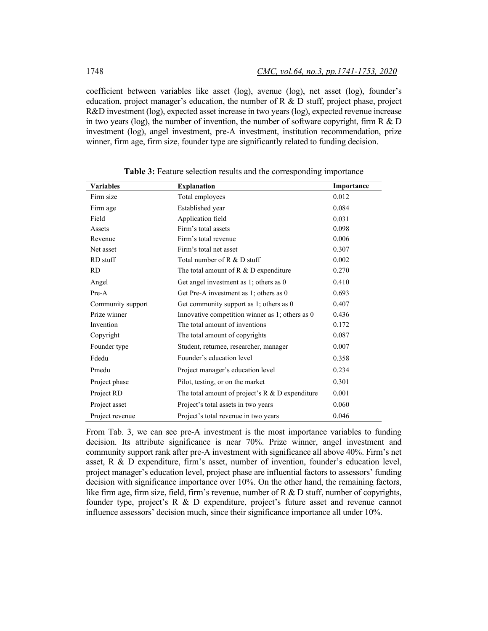coefficient between variables like asset (log), avenue (log), net asset (log), founder's education, project manager's education, the number of R & D stuff, project phase, project R&D investment (log), expected asset increase in two years (log), expected revenue increase in two years (log), the number of invention, the number of software copyright, firm  $R \& D$ investment (log), angel investment, pre-A investment, institution recommendation, prize winner, firm age, firm size, founder type are significantly related to funding decision.

| <b>Variables</b>  | <b>Explanation</b>                                | Importance |
|-------------------|---------------------------------------------------|------------|
| Firm size         | Total employees                                   | 0.012      |
| Firm age          | Established year                                  | 0.084      |
| Field             | Application field                                 | 0.031      |
| Assets            | Firm's total assets                               | 0.098      |
| Revenue           | Firm's total revenue                              | 0.006      |
| Net asset         | Firm's total net asset                            | 0.307      |
| RD stuff          | Total number of R & D stuff                       | 0.002      |
| <b>RD</b>         | The total amount of $R \& D$ expenditure          | 0.270      |
| Angel             | Get angel investment as 1; others as 0            | 0.410      |
| Pre-A             | Get Pre-A investment as 1; others as 0            | 0.693      |
| Community support | Get community support as 1; others as 0           | 0.407      |
| Prize winner      | Innovative competition winner as 1; others as 0   | 0.436      |
| Invention         | The total amount of inventions                    | 0.172      |
| Copyright         | The total amount of copyrights                    | 0.087      |
| Founder type      | Student, returnee, researcher, manager            | 0.007      |
| Fdedu             | Founder's education level                         | 0.358      |
| Pmedu             | Project manager's education level                 | 0.234      |
| Project phase     | Pilot, testing, or on the market                  | 0.301      |
| Project RD        | The total amount of project's $R & D$ expenditure | 0.001      |
| Project asset     | Project's total assets in two years               | 0.060      |
| Project revenue   | Project's total revenue in two years              | 0.046      |

**Table 3:** Feature selection results and the corresponding importance

From Tab. 3, we can see pre-A investment is the most importance variables to funding decision. Its attribute significance is near 70%. Prize winner, angel investment and community support rank after pre-A investment with significance all above 40%. Firm's net asset, R & D expenditure, firm's asset, number of invention, founder's education level, project manager's education level, project phase are influential factors to assessors' funding decision with significance importance over 10%. On the other hand, the remaining factors, like firm age, firm size, field, firm's revenue, number of R & D stuff, number of copyrights, founder type, project's R & D expenditure, project's future asset and revenue cannot influence assessors' decision much, since their significance importance all under 10%.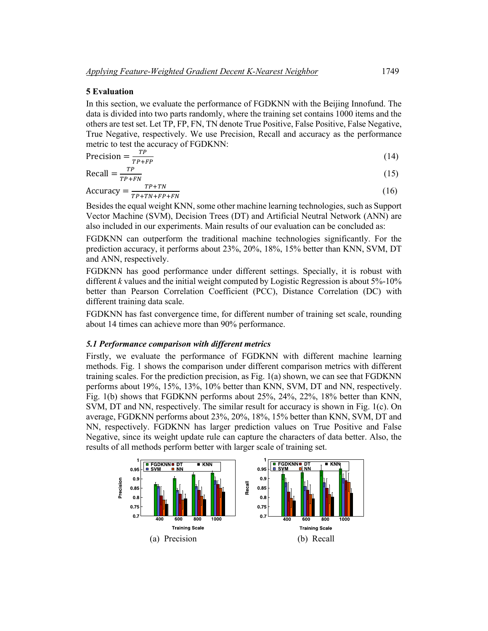### **5 Evaluation**

In this section, we evaluate the performance of FGDKNN with the Beijing Innofund. The data is divided into two parts randomly, where the training set contains 1000 items and the others are test set. Let TP, FP, FN, TN denote True Positive, False Positive, False Negative, True Negative, respectively. We use Precision, Recall and accuracy as the performance metric to test the accuracy of FGDKNN:

$$
Precision = \frac{TP}{TP + FP}
$$
 (14)

$$
\text{Recall} = \frac{TP}{TP + FN} \tag{15}
$$

$$
Accuracy = \frac{TP + TN}{TP + TN + FP + FN}
$$
 (16)

Besides the equal weight KNN, some other machine learning technologies, such as Support Vector Machine (SVM), Decision Trees (DT) and Artificial Neutral Network (ANN) are also included in our experiments. Main results of our evaluation can be concluded as:

FGDKNN can outperform the traditional machine technologies significantly. For the prediction accuracy, it performs about 23%, 20%, 18%, 15% better than KNN, SVM, DT and ANN, respectively.

FGDKNN has good performance under different settings. Specially, it is robust with different *k* values and the initial weight computed by Logistic Regression is about 5%-10% better than Pearson Correlation Coefficient (PCC), Distance Correlation (DC) with different training data scale.

FGDKNN has fast convergence time, for different number of training set scale, rounding about 14 times can achieve more than 90% performance.

#### *5.1 Performance comparison with different metrics*

Firstly, we evaluate the performance of FGDKNN with different machine learning methods. Fig. 1 shows the comparison under different comparison metrics with different training scales. For the prediction precision, as Fig. 1(a) shown, we can see that FGDKNN performs about 19%, 15%, 13%, 10% better than KNN, SVM, DT and NN, respectively. Fig. 1(b) shows that FGDKNN performs about 25%, 24%, 22%, 18% better than KNN, SVM, DT and NN, respectively. The similar result for accuracy is shown in Fig. 1(c). On average, FGDKNN performs about 23%, 20%, 18%, 15% better than KNN, SVM, DT and NN, respectively. FGDKNN has larger prediction values on True Positive and False Negative, since its weight update rule can capture the characters of data better. Also, the results of all methods perform better with larger scale of training set.

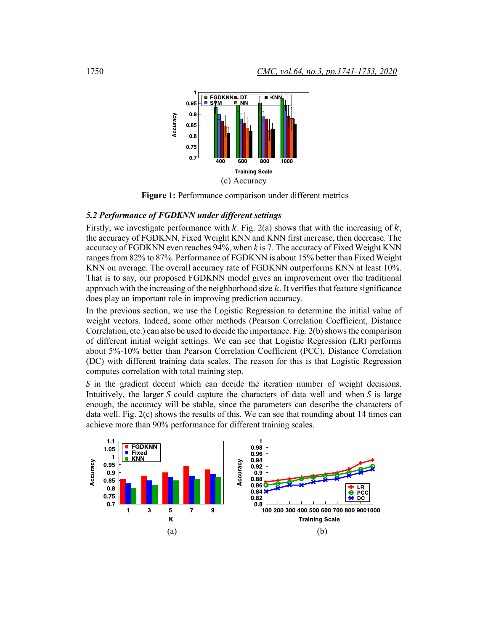

**Figure 1:** Performance comparison under different metrics

# *5.2 Performance of FGDKNN under different settings*

Firstly, we investigate performance with  $k$ . Fig. 2(a) shows that with the increasing of  $k$ , the accuracy of FGDKNN, Fixed Weight KNN and KNN first increase, then decrease. The accuracy of FGDKNN even reaches 94%, when *k* is 7. The accuracy of Fixed Weight KNN ranges from 82% to 87%. Performance of FGDKNN is about 15% better than Fixed Weight KNN on average. The overall accuracy rate of FGDKNN outperforms KNN at least 10%. That is to say, our proposed FGDKNN model gives an improvement over the traditional approach with the increasing of the neighborhood size  $k$ . It verifies that feature significance does play an important role in improving prediction accuracy.

In the previous section, we use the Logistic Regression to determine the initial value of weight vectors. Indeed, some other methods (Pearson Correlation Coefficient, Distance Correlation, etc.) can also be used to decide the importance. Fig. 2(b) shows the comparison of different initial weight settings. We can see that Logistic Regression (LR) performs about 5%-10% better than Pearson Correlation Coefficient (PCC), Distance Correlation (DC) with different training data scales. The reason for this is that Logistic Regression computes correlation with total training step.

 $\mathcal S$  in the gradient decent which can decide the iteration number of weight decisions. Intuitively, the larger  $S$  could capture the characters of data well and when  $S$  is large enough, the accuracy will be stable, since the parameters can describe the characters of data well. Fig. 2(c) shows the results of this. We can see that rounding about 14 times can achieve more than 90% performance for different training scales.

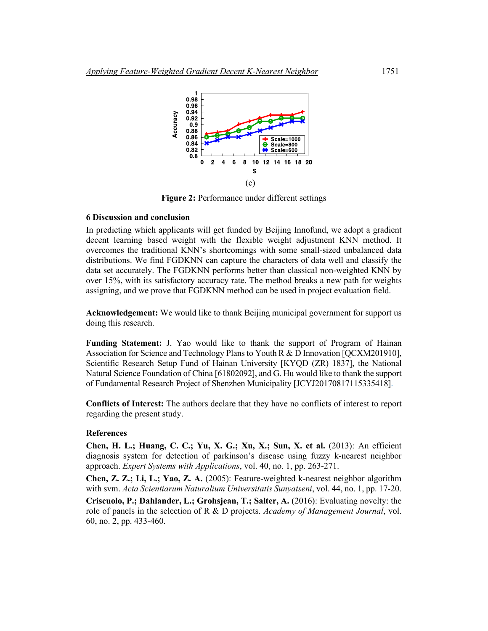

**Figure 2:** Performance under different settings

### **6 Discussion and conclusion**

In predicting which applicants will get funded by Beijing Innofund, we adopt a gradient decent learning based weight with the flexible weight adjustment KNN method. It overcomes the traditional KNN's shortcomings with some small-sized unbalanced data distributions. We find FGDKNN can capture the characters of data well and classify the data set accurately. The FGDKNN performs better than classical non-weighted KNN by over 15%, with its satisfactory accuracy rate. The method breaks a new path for weights assigning, and we prove that FGDKNN method can be used in project evaluation field.

**Acknowledgement:** We would like to thank Beijing municipal government for support us doing this research.

**Funding Statement:** J. Yao would like to thank the support of Program of Hainan Association for Science and Technology Plans to Youth R & D Innovation [QCXM201910], Scientific Research Setup Fund of Hainan University [KYQD (ZR) 1837], the National Natural Science Foundation of China [61802092], and G. Hu would like to thank the support of Fundamental Research Project of Shenzhen Municipality [JCYJ20170817115335418].

**Conflicts of Interest:** The authors declare that they have no conflicts of interest to report regarding the present study.

### **References**

**Chen, H. L.; Huang, C. C.; Yu, X. G.; Xu, X.; Sun, X. et al.** (2013): An efficient diagnosis system for detection of parkinson's disease using fuzzy k-nearest neighbor approach. *Expert Systems with Applications*, vol. 40, no. 1, pp. 263-271.

**Chen, Z. Z.; Li, L.; Yao, Z. A.** (2005): Feature-weighted k-nearest neighbor algorithm with svm. *Acta Scientiarum Naturalium Universitatis Sunyatseni*, vol. 44, no. 1, pp. 17-20.

**Criscuolo, P.; Dahlander, L.; Grohsjean, T.; Salter, A.** (2016): Evaluating novelty: the role of panels in the selection of R & D projects. *Academy of Management Journal*, vol. 60, no. 2, pp. 433-460.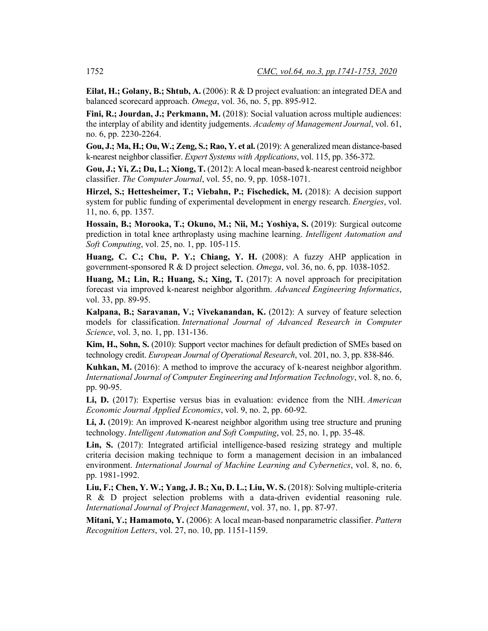**Eilat, H.; Golany, B.; Shtub, A.** (2006): R & D project evaluation: an integrated DEA and balanced scorecard approach. *Omega*, vol. 36, no. 5, pp. 895-912.

**Fini, R.; Jourdan, J.; Perkmann, M.** (2018): Social valuation across multiple audiences: the interplay of ability and identity judgements. *Academy of Management Journal*, vol. 61, no. 6, pp. 2230-2264.

**Gou, J.; Ma, H.; Ou, W.; Zeng, S.; Rao, Y. et al.** (2019): A generalized mean distance-based k-nearest neighbor classifier. *Expert Systems with Applications*, vol. 115, pp. 356-372.

**Gou, J.; Yi, Z.; Du, L.; Xiong, T.** (2012): A local mean-based k-nearest centroid neighbor classifier. *The Computer Journal*, vol. 55, no. 9, pp. 1058-1071.

**Hirzel, S.; Hettesheimer, T.; Viebahn, P.; Fischedick, M.** (2018): A decision support system for public funding of experimental development in energy research. *Energies*, vol. 11, no. 6, pp. 1357.

**Hossain, B.; Morooka, T.; Okuno, M.; Nii, M.; Yoshiya, S.** (2019): Surgical outcome prediction in total knee arthroplasty using machine learning. *Intelligent Automation and Soft Computing*, vol. 25, no. 1, pp. 105-115.

**Huang, C. C.; Chu, P. Y.; Chiang, Y. H.** (2008): A fuzzy AHP application in government-sponsored R & D project selection. *Omega*, vol. 36, no. 6, pp. 1038-1052.

**Huang, M.; Lin, R.; Huang, S.; Xing, T.** (2017): A novel approach for precipitation forecast via improved k-nearest neighbor algorithm. *Advanced Engineering Informatics*, vol. 33, pp. 89-95.

**Kalpana, B.; Saravanan, V.; Vivekanandan, K.** (2012): A survey of feature selection models for classification. *International Journal of Advanced Research in Computer Science*, vol. 3, no. 1, pp. 131-136.

**Kim, H., Sohn, S.** (2010): Support vector machines for default prediction of SMEs based on technology credit. *European Journal of Operational Research*, vol. 201, no. 3, pp. 838-846.

**Kuhkan, M.** (2016): A method to improve the accuracy of k-nearest neighbor algorithm. *International Journal of Computer Engineering and Information Technology*, vol. 8, no. 6, pp. 90-95.

**Li, D.** (2017): Expertise versus bias in evaluation: evidence from the NIH. *American Economic Journal Applied Economics*, vol. 9, no. 2, pp. 60-92.

**Li, J.** (2019): An improved K-nearest neighbor algorithm using tree structure and pruning technology. *Intelligent Automation and Soft Computing*, vol. 25, no. 1, pp. 35-48.

**Lin, S.** (2017): Integrated artificial intelligence-based resizing strategy and multiple criteria decision making technique to form a management decision in an imbalanced environment. *International Journal of Machine Learning and Cybernetics*, vol. 8, no. 6, pp. 1981-1992.

**Liu, F.; Chen, Y. W.; Yang, J. B.; Xu, D. L.; Liu, W. S.** (2018): Solving multiple-criteria R & D project selection problems with a data-driven evidential reasoning rule. *International Journal of Project Management*, vol. 37, no. 1, pp. 87-97.

**Mitani, Y.; Hamamoto, Y.** (2006): A local mean-based nonparametric classifier. *Pattern Recognition Letters*, vol. 27, no. 10, pp. 1151-1159.